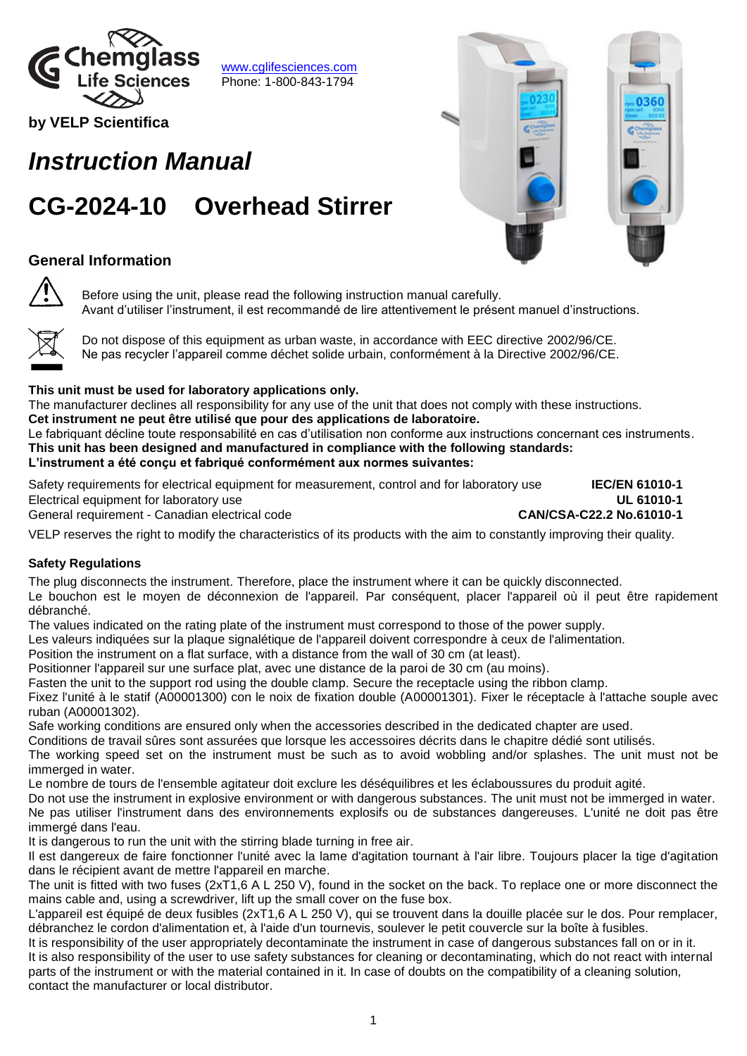

[www.cglifesciences.com](http://www.cglifesciences.com/) Phone: 1-800-843-1794

**by VELP Scientifica** 

# *Instruction Manual*

# **CG-2024-10 Overhead Stirrer**

# **General Information**

Before using the unit, please read the following instruction manual carefully. Avant d'utiliser l'instrument, il est recommandé de lire attentivement le présent manuel d'instructions.



Do not dispose of this equipment as urban waste, in accordance with EEC directive 2002/96/CE. Ne pas recycler l'appareil comme déchet solide urbain, conformément à la Directive 2002/96/CE.

### **This unit must be used for laboratory applications only.**

The manufacturer declines all responsibility for any use of the unit that does not comply with these instructions.

**Cet instrument ne peut être utilisé que pour des applications de laboratoire.**  Le fabriquant décline toute responsabilité en cas d'utilisation non conforme aux instructions concernant ces instruments.

**This unit has been designed and manufactured in compliance with the following standards: L'instrument a été conçu et fabriqué conformément aux normes suivantes:**

Safety requirements for electrical equipment for measurement, control and for laboratory use **IEC/EN 61010-1** Electrical equipment for laboratory use **UL 61010-1**

General requirement - Canadian electrical code **CAN/CSA-C22.2 No.61010-1**

VELP reserves the right to modify the characteristics of its products with the aim to constantly improving their quality.

### **Safety Regulations**

The plug disconnects the instrument. Therefore, place the instrument where it can be quickly disconnected. Le bouchon est le moyen de déconnexion de l'appareil. Par conséquent, placer l'appareil où il peut être rapidement débranché.

The values indicated on the rating plate of the instrument must correspond to those of the power supply.

Les valeurs indiquées sur la plaque signalétique de l'appareil doivent correspondre à ceux de l'alimentation.

Position the instrument on a flat surface, with a distance from the wall of 30 cm (at least).

Positionner l'appareil sur une surface plat, avec une distance de la paroi de 30 cm (au moins).

Fasten the unit to the support rod using the double clamp. Secure the receptacle using the ribbon clamp.

Fixez l'unité à le statif (A00001300) con le noix de fixation double (A00001301). Fixer le réceptacle à l'attache souple avec ruban (A00001302).

Safe working conditions are ensured only when the accessories described in the dedicated chapter are used.

Conditions de travail sûres sont assurées que lorsque les accessoires décrits dans le chapitre dédié sont utilisés.

The working speed set on the instrument must be such as to avoid wobbling and/or splashes. The unit must not be immerged in water.

Le nombre de tours de l'ensemble agitateur doit exclure les déséquilibres et les éclaboussures du produit agité.

Do not use the instrument in explosive environment or with dangerous substances. The unit must not be immerged in water. Ne pas utiliser l'instrument dans des environnements explosifs ou de substances dangereuses. L'unité ne doit pas être immergé dans l'eau.

It is dangerous to run the unit with the stirring blade turning in free air.

Il est dangereux de faire fonctionner l'unité avec la lame d'agitation tournant à l'air libre. Toujours placer la tige d'agitation dans le récipient avant de mettre l'appareil en marche.

The unit is fitted with two fuses (2xT1,6 A L 250 V), found in the socket on the back. To replace one or more disconnect the mains cable and, using a screwdriver, lift up the small cover on the fuse box.

L'appareil est équipé de deux fusibles (2xT1,6 A L 250 V), qui se trouvent dans la douille placée sur le dos. Pour remplacer, débranchez le cordon d'alimentation et, à l'aide d'un tournevis, soulever le petit couvercle sur la boîte à fusibles.

It is responsibility of the user appropriately decontaminate the instrument in case of dangerous substances fall on or in it. It is also responsibility of the user to use safety substances for cleaning or decontaminating, which do not react with internal parts of the instrument or with the material contained in it. In case of doubts on the compatibility of a cleaning solution, contact the manufacturer or local distributor.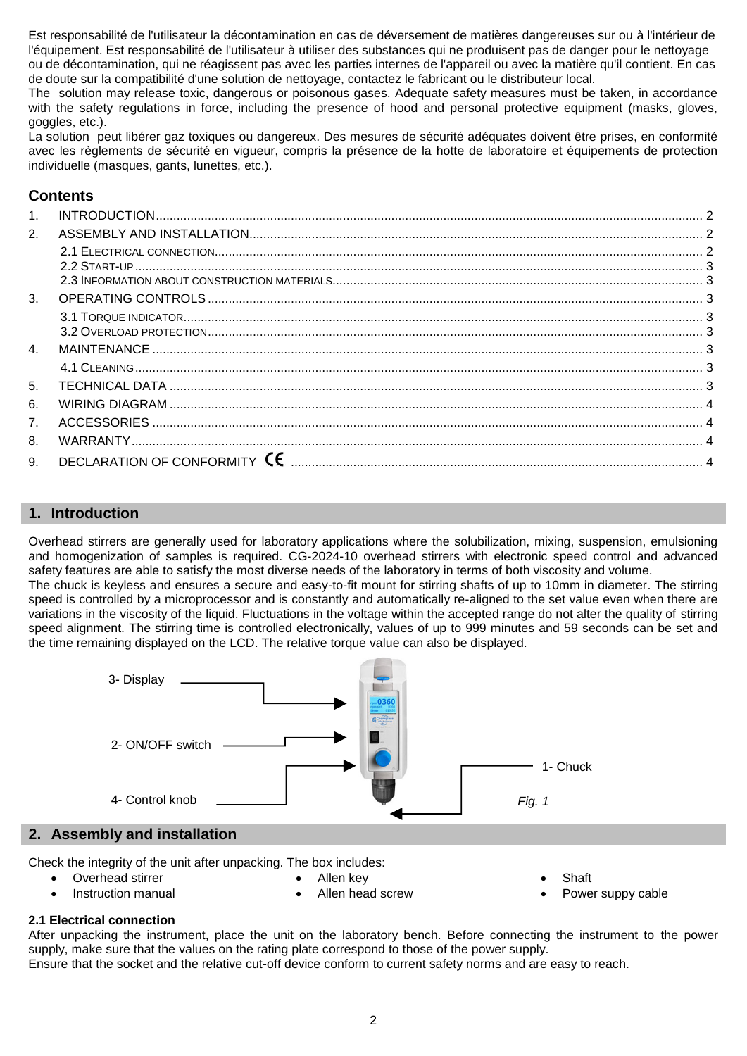Est responsabilité de l'utilisateur la décontamination en cas de déversement de matières dangereuses sur ou à l'intérieur de l'équipement. Est responsabilité de l'utilisateur à utiliser des substances qui ne produisent pas de danger pour le nettoyage ou de décontamination, qui ne réagissent pas avec les parties internes de l'appareil ou avec la matière qu'il contient. En cas de doute sur la compatibilité d'une solution de nettoyage, contactez le fabricant ou le distributeur local.

The solution may release toxic, dangerous or poisonous gases. Adequate safety measures must be taken, in accordance with the safety regulations in force, including the presence of hood and personal protective equipment (masks, gloves, goggles, etc.).

La solution peut libérer gaz toxiques ou dangereux. Des mesures de sécurité adéquates doivent être prises, en conformité avec les règlements de sécurité en vigueur, compris la présence de la hotte de laboratoire et équipements de protection individuelle (masques, gants, lunettes, etc.).

# **Contents**

| 1 <sub>1</sub>   |  |
|------------------|--|
| 2 <sub>1</sub>   |  |
|                  |  |
|                  |  |
|                  |  |
| 3.               |  |
|                  |  |
|                  |  |
| $\overline{4}$ . |  |
|                  |  |
| 5.               |  |
| 6.               |  |
| 7 <sub>1</sub>   |  |
| 8.               |  |
| 9.               |  |

### <span id="page-1-0"></span>**1. Introduction**

Overhead stirrers are generally used for laboratory applications where the solubilization, mixing, suspension, emulsioning and homogenization of samples is required. CG-2024-10 overhead stirrers with electronic speed control and advanced safety features are able to satisfy the most diverse needs of the laboratory in terms of both viscosity and volume.

The chuck is keyless and ensures a secure and easy-to-fit mount for stirring shafts of up to 10mm in diameter. The stirring speed is controlled by a microprocessor and is constantly and automatically re-aligned to the set value even when there are variations in the viscosity of the liquid. Fluctuations in the voltage within the accepted range do not alter the quality of stirring speed alignment. The stirring time is controlled electronically, values of up to 999 minutes and 59 seconds can be set and the time remaining displayed on the LCD. The relative torque value can also be displayed.



<span id="page-1-1"></span>Check the integrity of the unit after unpacking. The box includes:

Overhead stirrer

Allen key

Instruction manual

Allen head screw

- Shaft
- Power suppy cable

#### <span id="page-1-2"></span>**2.1 Electrical connection**

After unpacking the instrument, place the unit on the laboratory bench. Before connecting the instrument to the power supply, make sure that the values on the rating plate correspond to those of the power supply. Ensure that the socket and the relative cut-off device conform to current safety norms and are easy to reach.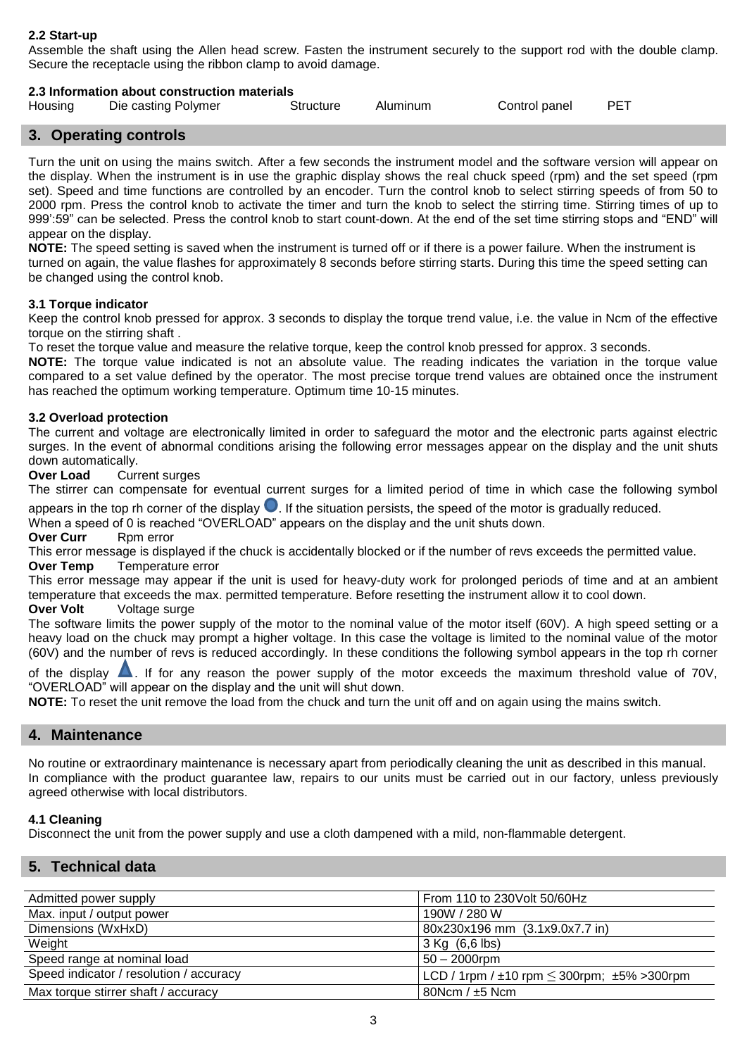#### <span id="page-2-0"></span>**2.2 Start-up**

Assemble the shaft using the Allen head screw. Fasten the instrument securely to the support rod with the double clamp. Secure the receptacle using the ribbon clamp to avoid damage.

#### <span id="page-2-1"></span>**2.3 Information about construction materials**

| Housing | Die casting Polymer | Structure | Aluminum | Control panel | PFT |  |
|---------|---------------------|-----------|----------|---------------|-----|--|
|---------|---------------------|-----------|----------|---------------|-----|--|

#### <span id="page-2-2"></span>**3. Operating controls**

Turn the unit on using the mains switch. After a few seconds the instrument model and the software version will appear on the display. When the instrument is in use the graphic display shows the real chuck speed (rpm) and the set speed (rpm set). Speed and time functions are controlled by an encoder. Turn the control knob to select stirring speeds of from 50 to 2000 rpm. Press the control knob to activate the timer and turn the knob to select the stirring time. Stirring times of up to 999':59" can be selected. Press the control knob to start count-down. At the end of the set time stirring stops and "END" will appear on the display.

**NOTE:** The speed setting is saved when the instrument is turned off or if there is a power failure. When the instrument is turned on again, the value flashes for approximately 8 seconds before stirring starts. During this time the speed setting can be changed using the control knob.

#### <span id="page-2-3"></span>**3.1 Torque indicator**

Keep the control knob pressed for approx. 3 seconds to display the torque trend value, i.e. the value in Ncm of the effective torque on the stirring shaft .

To reset the torque value and measure the relative torque, keep the control knob pressed for approx. 3 seconds.

**NOTE:** The torque value indicated is not an absolute value. The reading indicates the variation in the torque value compared to a set value defined by the operator. The most precise torque trend values are obtained once the instrument has reached the optimum working temperature. Optimum time 10-15 minutes.

#### <span id="page-2-4"></span>**3.2 Overload protection**

The current and voltage are electronically limited in order to safeguard the motor and the electronic parts against electric surges. In the event of abnormal conditions arising the following error messages appear on the display and the unit shuts down automatically.

**Over Load** Current surges

The stirrer can compensate for eventual current surges for a limited period of time in which case the following symbol appears in the top rh corner of the display  $\bigcirc$ . If the situation persists, the speed of the motor is gradually reduced.

When a speed of 0 is reached "OVERLOAD" appears on the display and the unit shuts down.

**Over Curr** Rpm error

This error message is displayed if the chuck is accidentally blocked or if the number of revs exceeds the permitted value. **Over Temp** Temperature error

This error message may appear if the unit is used for heavy-duty work for prolonged periods of time and at an ambient temperature that exceeds the max. permitted temperature. Before resetting the instrument allow it to cool down.

#### **Over Volt** Voltage surge

The software limits the power supply of the motor to the nominal value of the motor itself (60V). A high speed setting or a heavy load on the chuck may prompt a higher voltage. In this case the voltage is limited to the nominal value of the motor (60V) and the number of revs is reduced accordingly. In these conditions the following symbol appears in the top rh corner

of the display  $\triangle$ . If for any reason the power supply of the motor exceeds the maximum threshold value of 70V, "OVERLOAD" will appear on the display and the unit will shut down.

<span id="page-2-5"></span>**NOTE:** To reset the unit remove the load from the chuck and turn the unit off and on again using the mains switch.

#### **4. Maintenance**

No routine or extraordinary maintenance is necessary apart from periodically cleaning the unit as described in this manual. In compliance with the product guarantee law, repairs to our units must be carried out in our factory, unless previously agreed otherwise with local distributors.

#### <span id="page-2-6"></span>**4.1 Cleaning**

<span id="page-2-7"></span>Disconnect the unit from the power supply and use a cloth dampened with a mild, non-flammable detergent.

#### **5. Technical data**

| Admitted power supply                   | From 110 to 230 Volt 50/60 Hz                              |
|-----------------------------------------|------------------------------------------------------------|
| Max. input / output power               | 190W / 280 W                                               |
| Dimensions (WxHxD)                      | 80x230x196 mm (3.1x9.0x7.7 in)                             |
| Weight                                  | $3$ Kg $(6, 6)$ lbs)                                       |
| Speed range at nominal load             | $50 - 2000$ rpm                                            |
| Speed indicator / resolution / accuracy | LCD / 1rpm / $\pm$ 10 rpm $\leq$ 300rpm; $\pm$ 5% > 300rpm |
| Max torque stirrer shaft / accuracy     | 80Ncm / $±5$ Ncm                                           |